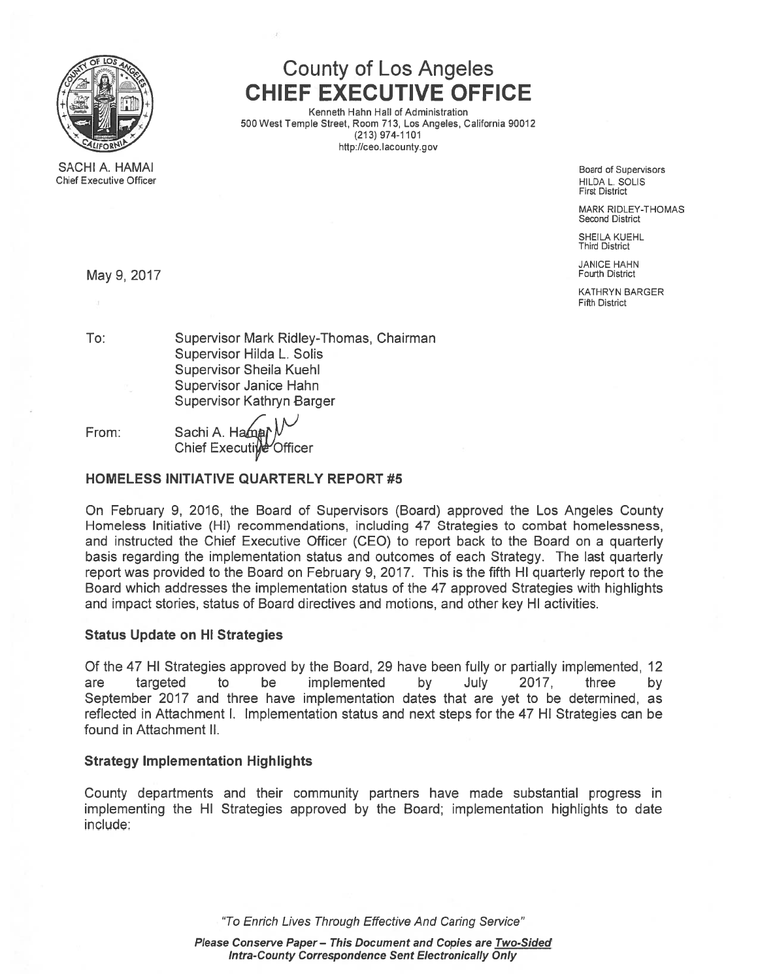

SACHI A. HAMAI Chief Executive Officer

# County of Los Angeles CHIEF EXECUTIVE OFFICE

Kenneth Hahn Hall of Administration 500 West Temple Street, Room 713, Los Angeles, California 90012 (213) 974-1101 http://ceo.Iacounty.gov

> Board of Supervisors HILDA L. SOLIS First District

MARK RIDLEY-THOMAS Second District

SHEILA KUEHL Third District

JANICE HAHN May 9, 2017 Fourth District

> KATHRYN BARGER Fifth District

To: Supervisor Mark Ridley-Thomas, Chairman Supervisor Hilda L. Solis Supervisor Sheila Kuehi Supervisor Janice Hahn Supervisor Kathryn Barger

From: Sachi A. Ham Chief Executive Officer

### HOMELESS INITIATIVE QUARTERLY REPORT #5

On February 9, 2016, the Board of Supervisors (Board) approved the Los Angeles County Homeless Initiative (HI) recommendations, including 47 Strategies to combat homelessness, and instructed the Chief Executive Officer (CEO) to repor<sup>t</sup> back to the Board on <sup>a</sup> quarterly basis regarding the implementation status and outcomes of each Strategy. The last quarterly repor<sup>t</sup> was provided to the Board on February 9, 2017. This is the fifth HI quarterly repor<sup>t</sup> to the Board which addresses the implementation status of the 47 approved Strategies with highlights and impact stories, status of Board directives and motions, and other key HI activities.

### Status Update on HI Strategies

Of the 47 HI Strategies approved by the Board, 29 have been fully or partially implemented, 12 are targeted to be implemented by July 2017, three by September 2017 and three have implementation dates that are ye<sup>t</sup> to be determined, as reflected in Attachment I. Implementation status and next steps for the 47 HI Strategies can be found in Attachment II.

### Strategy Implementation Highlights

County departments and their community partners have made substantial progress in implementing the HI Strategies approved by the Board; implementation highlights to date include:

"To Enrich Lives Through Effective And Caring Service"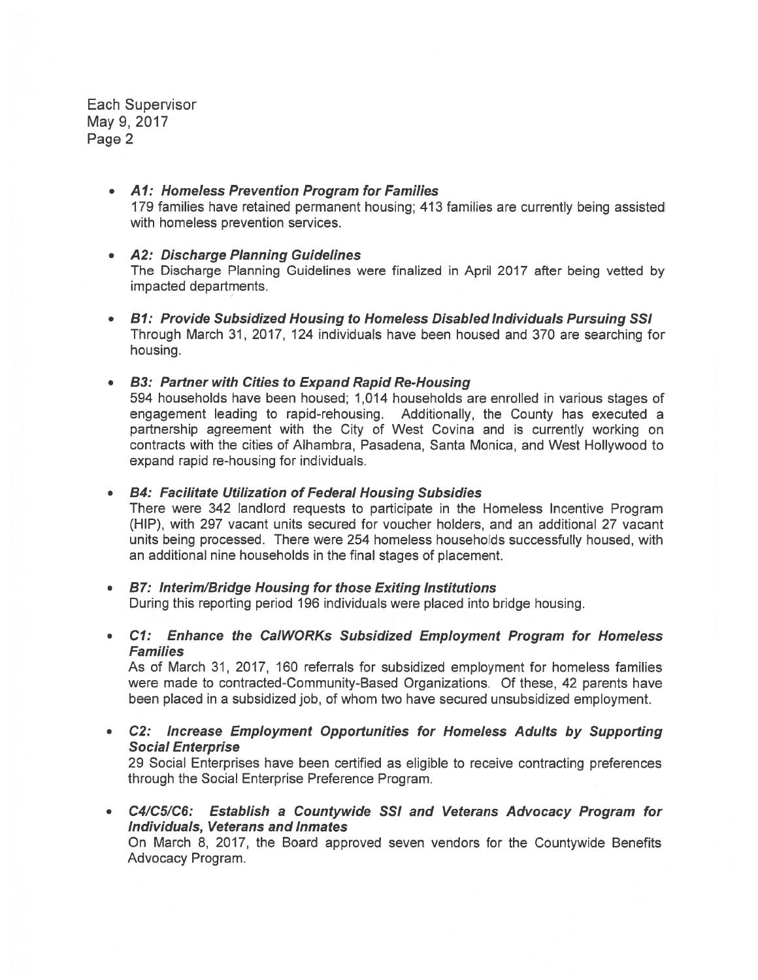Each Supervisor May 9, 2017 Page 2

- Al: Homeless Prevention Program for Families 179 families have retained permanen<sup>t</sup> housing; 413 families are currently being assisted with homeless prevention services.
- A2: Discharge Planning Guidelines The Discharge Planning Guidelines were finalized in April 2017 after being vetted by impacted departments.
- 81: Provide Subsidized Housing to Homeless Disabled Individuals Pursuing 55! Through March 31, 2017, 124 individuals have been housed and 370 are searching for housing.

• 83: Partner with Cities to Expand Rapid Re-Housing 594 households have been housed; 1,014 households are enrolled in various stages of engagemen<sup>t</sup> leading to rapid-rehousing. Additionally, the County has executed <sup>a</sup> partnership agreemen<sup>t</sup> with the City of West Covina and is currently working on contracts with the cities of Aihambra, Pasadena, Santa Monica, and West Hollywood to expand rapid re-housing for individuals.

• 84: Facilitate Utilization of Federal Housing Subsidies There were 342 landlord requests to participate in the Homeless Incentive Program (HIP), with 297 vacant units secured for voucher holders, and an additional 27 vacant units being processed. There were 254 homeless households successfully housed, with an additional nine households in the final stages of placement.

- B7: Interim/Bridge Housing for those Exiting Institutions During this reporting period 196 individuals were placed into bridge housing.
- Cl: Enhance the CalWORKs Subsidized Employment Program for Homeless **Families**

As of March 31, 2017, 160 referrals for subsidized employment for homeless families were made to contracted-Community-Based Organizations. Of these, 42 parents have been placed in <sup>a</sup> subsidized job, of whom two have secured unsubsidized employment.

• C2: Increase Employment Opportunities for Homeless Adults by Supporting Social Enterprise 29 Social Enterprises have been certified as eligible to receive contracting preferences through the Social Enterprise Preference Program.

• C4/C5/C6: Establish <sup>a</sup> Countywide SSI and Veterans Advocacy Program for Individuals, Veterans and Inmates On March 8, 2017, the Board approved seven vendors for the Countywide Benefits Advocacy Program.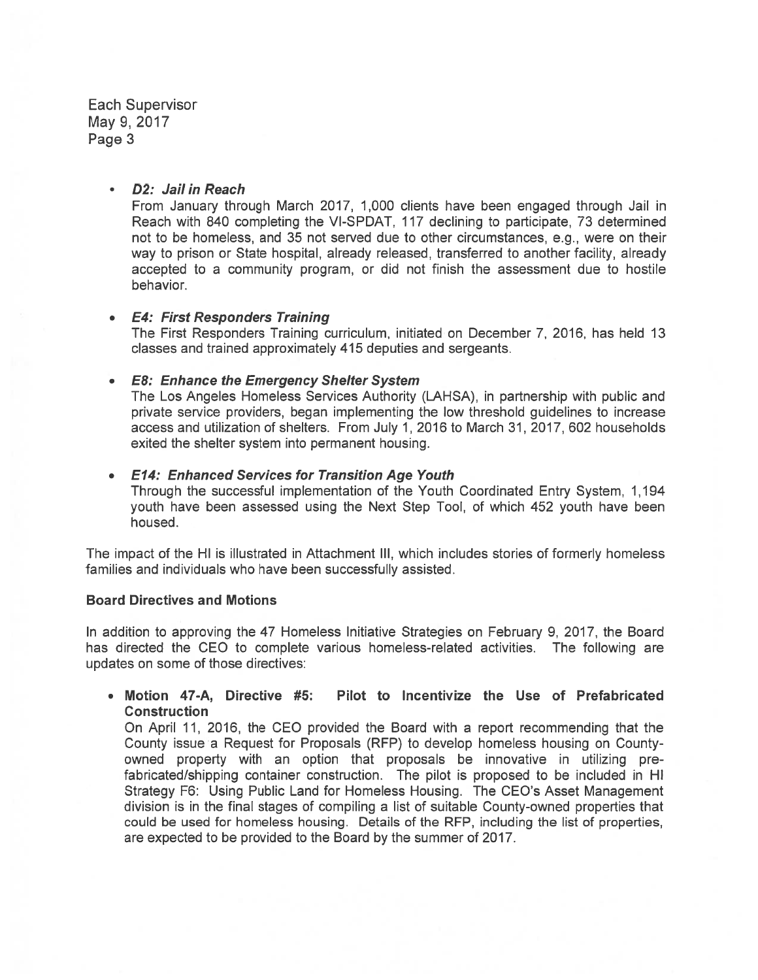Each Supervisor May 9,2017 Page 3

#### D2: Jail in Reach

From January through March 2017, 1,000 clients have been engaged through Jail in Reach with 840 completing the Vl-SPDAT, 117 declining to participate, 73 determined not to be homeless, and 35 not served due to other circumstances, e.g., were on their way to prison or State hospital, already released, transferred to another facility, already accepted to <sup>a</sup> community program, or did not finish the assessment due to hostile behavior.

#### E4: First Responders Training

The First Responders Training curriculum, initiated on December 7, 2016, has held 13 classes and trained approximately 415 deputies and sergeants.

#### • E8: Enhance the Emergency Shelter System

The Los Angeles Homeless Services Authority (LAHSA), in partnership with public and private service providers, began implementing the low threshold guidelines to increase access and utilization of shelters. From July 1, 2016 to March 31, 2017, 602 households exited the shelter system into permanen<sup>t</sup> housing.

#### • E14: Enhanced Services for Transition Age Youth

Through the successful implementation of the Youth Coordinated Entry System, 1,194 youth have been assessed using the Next Step Tool, of which 452 youth have been housed.

The impact of the HI is illustrated in Attachment Ill, which includes stories of formerly homeless families and individuals who have been successfully assisted.

#### Board Directives and Motions

In addition to approving the 47 Homeless Initiative Strategies on February 9, 2017, the Board has directed the CEO to complete various homeless-related activities. The following are updates on some of those directives:

#### • Motion 47-A, Directive #5: Pilot to Incentivize the Use of Prefabricated **Construction**

On April 11, 2016, the CEO provided the Board with <sup>a</sup> repor<sup>t</sup> recommending that the County issue a Request for Proposals (RFP) to develop homeless housing on Countyowned property with an option that proposals be innovative in utilizing pre fabricated/shipping container construction. The pilot is proposed to be included in HI Strategy F6: Using Public Land for Homeless Housing. The CEO's Asset Management division is in the final stages of compiling <sup>a</sup> list of suitable County-owned properties that could be used for homeless housing. Details of the RFP, including the list of properties, are expected to be provided to the Board by the summer of 2017.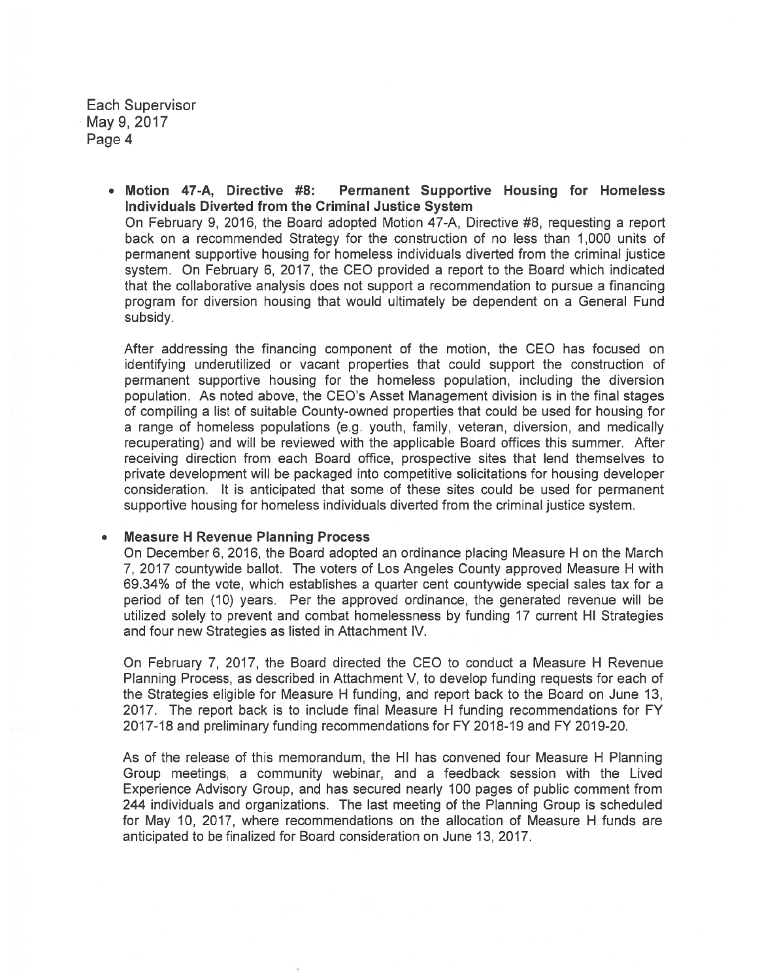Each Supervisor May 9, 2017 Page 4

> • Motion 47-A, Directive #8: Permanent Supportive Housing for Homeless Individuals Diverted from the Criminal Justice System On February 9, 2016, the Board adopted Motion 47-A, Directive #8, requesting <sup>a</sup> repor<sup>t</sup> back on <sup>a</sup> recommended Strategy for the construction of no less than 1,000 units of permanen<sup>t</sup> supportive housing for homeless individuals diverted from the criminal justice system. On February 6, 2017, the CEO provided <sup>a</sup> repor<sup>t</sup> to the Board which indicated that the collaborative analysis does not suppor<sup>t</sup> <sup>a</sup> recommendation to pursue <sup>a</sup> financing program for diversion housing that would ultimately be dependent on <sup>a</sup> General Fund subsidy.

After addressing the financing componen<sup>t</sup> of the motion, the CEO has focused on identifying underutilized or vacant properties that could suppor<sup>t</sup> the construction of permanen<sup>t</sup> supportive housing for the homeless population, including the diversion population. As noted above, the CEO's Asset Management division is in the final stages of compiling <sup>a</sup> list of suitable County-owned properties that could be used for housing for <sup>a</sup> range of homeless populations (e.g. youth, family, veteran, diversion, and medically recuperating) and will be reviewed with the applicable Board offices this summer. After receiving direction from each Board office, prospective sites that lend themselves to private development will be packaged into competitive solicitations for housing developer consideration. It is anticipated that some of these sites could be used for permanen<sup>t</sup> supportive housing for homeless individuals diverted from the criminal justice system.

#### •Measure H Revenue Planning Process

On December 6, 2016, the Board adopted an ordinance placing Measure H on the March 7, 2017 countywide ballot. The voters of Los Angeles County approved Measure H with 69.34% of the vote, which establishes <sup>a</sup> quarter cent countywide special sales tax for <sup>a</sup> period of ten (10) years. Per the approved ordinance, the generated revenue will be utilized solely to preven<sup>t</sup> and combat homelessness by funding 17 current HI Strategies and four new Strategies as listed in Attachment IV.

On February 7, 2017, the Board directed the CEO to conduct <sup>a</sup> Measure H Revenue Planning Process, as described in Attachment V, to develop funding requests for each of the Strategies eligible for Measure H funding, and repor<sup>t</sup> back to the Board on June 13, 2017. The repor<sup>t</sup> back is to include final Measure H funding recommendations for FY 2017-18 and preliminary funding recommendations for FY 2018-19 and FY 2019-20.

As of the release of this memorandum, the HI has convened four Measure H Planning Group meetings, <sup>a</sup> community webinar, and <sup>a</sup> feedback session with the Lived Experience Advisory Group, and has secured nearly 100 pages of public comment from 244 individuals and organizations. The last meeting of the Planning Group is scheduled for May 10, 2017, where recommendations on the allocation of Measure H funds are anticipated to be finalized for Board consideration on June 13, 2017.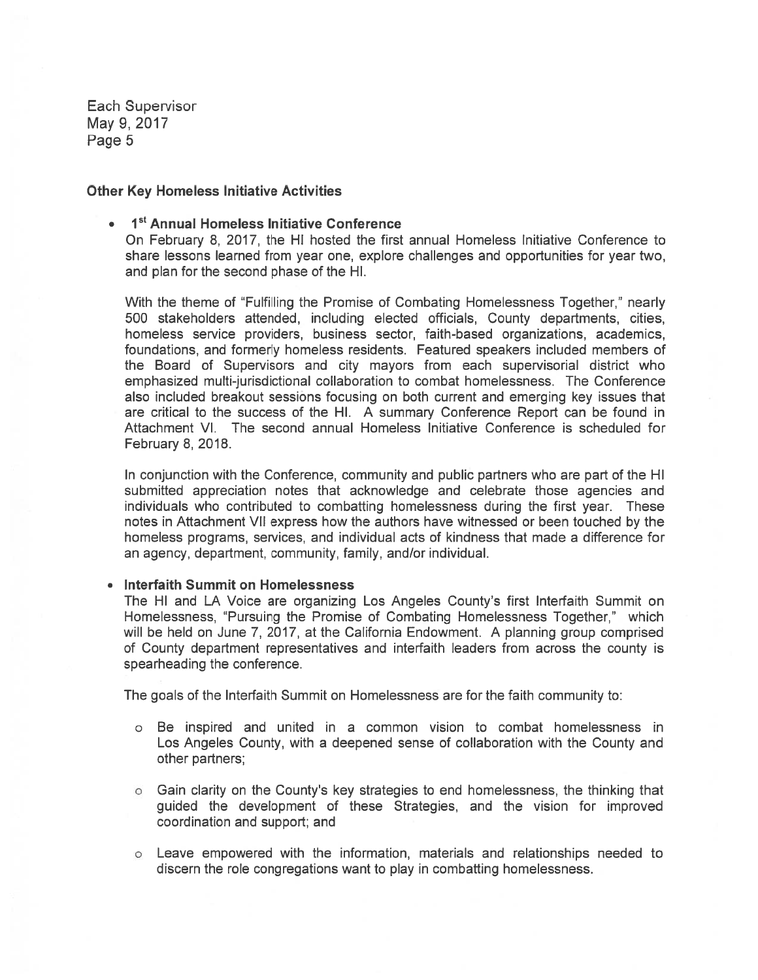Each Supervisor May 9,2017 Page 5

#### Other Key Homeless Initiative Activities

## • I<sup>st</sup> Annual Homeless Initiative Conference On February 8, 2017, the HI hosted the first annual Homeless Initiative Conference to share lessons learned from year one, explore challenges and opportunities for year two, and plan for the second phase of the HI.

With the theme of "Fulfilling the Promise of Combating Homelessness Together," neatly 500 stakeholders attended, including elected officials, County departments, cities, homeless service providers, business sector, faith-based organizations, academics, foundations, and formerly homeless residents. Featured speakers included members of the Board of Supervisors and city mayors from each supervisorial district who emphasized multi-jurisdictional collaboration to combat homelessness. The Conference also included breakout sessions focusing on both current and emerging key issues that are critical to the success of the HI. A summary Conference Report can be found in Attachment VI. The second annual Homeless Initiative Conference is scheduled for February 8, 2018.

In conjunction with the Conference, community and public partners who are par<sup>t</sup> of the HI submitted appreciation notes that acknowledge and celebrate those agencies and individuals who contributed to combatting homelessness during the first year. These notes in Attachment VII express how the authors have witnessed or been touched by the homeless programs, services, and individual acts of kindness that made <sup>a</sup> difference for an agency, department, community, family, and/or individual.

#### • Interfaith Summit on Homelessness

The HI and LA Voice are organizing Los Angeles County's first Interfaith Summit on Homelessness, "Pursuing the Promise of Combating Homelessness Together," which will be held on June 7, 2017, at the California Endowment. A planning group comprised of County department representatives and interfaith leaders from across the county is spearheading the conference.

The goals of the Interfaith Summit on Homelessness are for the faith community to:

- <sup>o</sup> Be inspired and united in <sup>a</sup> common vision to combat homelessness in Los Angeles County, with <sup>a</sup> deepened sense of collaboration with the County and other partners;
- <sup>o</sup> Gain clarity on the County's key strategies to end homelessness, the thinking that guided the development of these Strategies, and the vision for improved coordination and support; and
- <sup>o</sup> Leave empowered with the information, materials and relationships needed to discern the role congregations want to play in combafting homelessness.